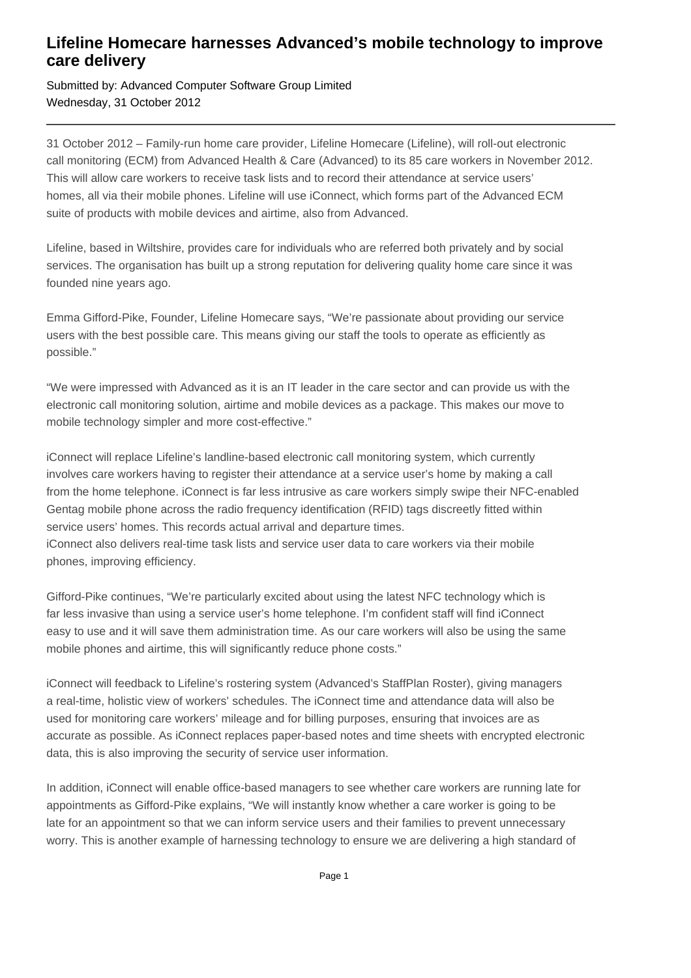## **Lifeline Homecare harnesses Advanced's mobile technology to improve care delivery**

Submitted by: Advanced Computer Software Group Limited Wednesday, 31 October 2012

31 October 2012 – Family-run home care provider, Lifeline Homecare (Lifeline), will roll-out electronic call monitoring (ECM) from Advanced Health & Care (Advanced) to its 85 care workers in November 2012. This will allow care workers to receive task lists and to record their attendance at service users' homes, all via their mobile phones. Lifeline will use iConnect, which forms part of the Advanced ECM suite of products with mobile devices and airtime, also from Advanced.

Lifeline, based in Wiltshire, provides care for individuals who are referred both privately and by social services. The organisation has built up a strong reputation for delivering quality home care since it was founded nine years ago.

Emma Gifford-Pike, Founder, Lifeline Homecare says, "We're passionate about providing our service users with the best possible care. This means giving our staff the tools to operate as efficiently as possible."

"We were impressed with Advanced as it is an IT leader in the care sector and can provide us with the electronic call monitoring solution, airtime and mobile devices as a package. This makes our move to mobile technology simpler and more cost-effective."

iConnect will replace Lifeline's landline-based electronic call monitoring system, which currently involves care workers having to register their attendance at a service user's home by making a call from the home telephone. iConnect is far less intrusive as care workers simply swipe their NFC-enabled Gentag mobile phone across the radio frequency identification (RFID) tags discreetly fitted within service users' homes. This records actual arrival and departure times. iConnect also delivers real-time task lists and service user data to care workers via their mobile phones, improving efficiency.

Gifford-Pike continues, "We're particularly excited about using the latest NFC technology which is far less invasive than using a service user's home telephone. I'm confident staff will find iConnect easy to use and it will save them administration time. As our care workers will also be using the same mobile phones and airtime, this will significantly reduce phone costs."

iConnect will feedback to Lifeline's rostering system (Advanced's StaffPlan Roster), giving managers a real-time, holistic view of workers' schedules. The iConnect time and attendance data will also be used for monitoring care workers' mileage and for billing purposes, ensuring that invoices are as accurate as possible. As iConnect replaces paper-based notes and time sheets with encrypted electronic data, this is also improving the security of service user information.

In addition, iConnect will enable office-based managers to see whether care workers are running late for appointments as Gifford-Pike explains, "We will instantly know whether a care worker is going to be late for an appointment so that we can inform service users and their families to prevent unnecessary worry. This is another example of harnessing technology to ensure we are delivering a high standard of